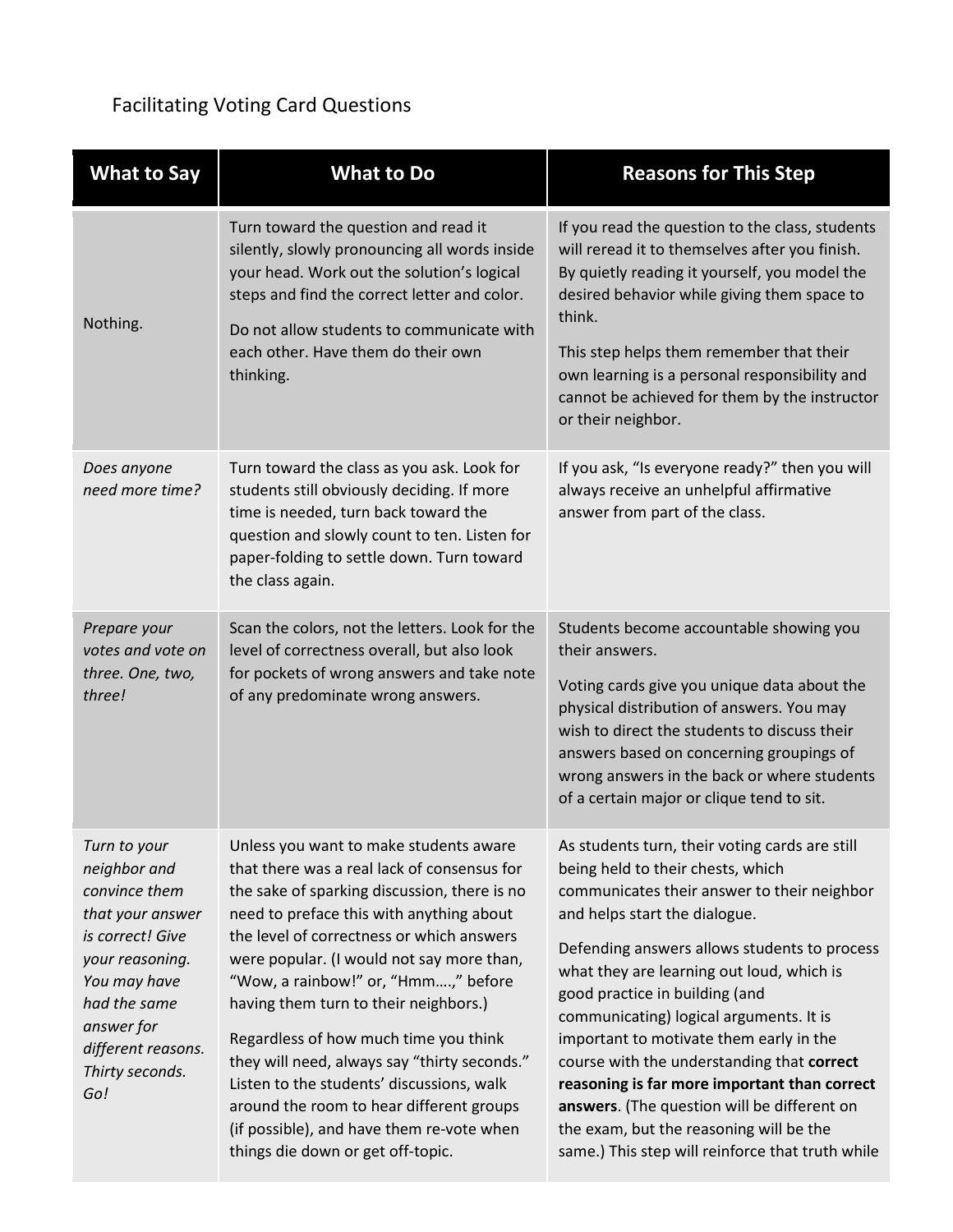## Facilitating Voting Card Questions

| <b>What to Say</b>                                                                                                                                                                                     | <b>What to Do</b>                                                                                                                                                                                                                                                                                                                                                                                                                                                                                                                                                                                                               | <b>Reasons for This Step</b>                                                                                                                                                                                                                                                                                                                                                                                                                                                                                                                                                                                                         |
|--------------------------------------------------------------------------------------------------------------------------------------------------------------------------------------------------------|---------------------------------------------------------------------------------------------------------------------------------------------------------------------------------------------------------------------------------------------------------------------------------------------------------------------------------------------------------------------------------------------------------------------------------------------------------------------------------------------------------------------------------------------------------------------------------------------------------------------------------|--------------------------------------------------------------------------------------------------------------------------------------------------------------------------------------------------------------------------------------------------------------------------------------------------------------------------------------------------------------------------------------------------------------------------------------------------------------------------------------------------------------------------------------------------------------------------------------------------------------------------------------|
| Nothing.                                                                                                                                                                                               | Turn toward the question and read it<br>silently, slowly pronouncing all words inside<br>your head. Work out the solution's logical<br>steps and find the correct letter and color.<br>Do not allow students to communicate with<br>each other. Have them do their own<br>thinking.                                                                                                                                                                                                                                                                                                                                             | If you read the question to the class, students<br>will reread it to themselves after you finish.<br>By quietly reading it yourself, you model the<br>desired behavior while giving them space to<br>think.<br>This step helps them remember that their<br>own learning is a personal responsibility and<br>cannot be achieved for them by the instructor<br>or their neighbor.                                                                                                                                                                                                                                                      |
| Does anyone<br>need more time?                                                                                                                                                                         | Turn toward the class as you ask. Look for<br>students still obviously deciding. If more<br>time is needed, turn back toward the<br>question and slowly count to ten. Listen for<br>paper-folding to settle down. Turn toward<br>the class again.                                                                                                                                                                                                                                                                                                                                                                               | If you ask, "Is everyone ready?" then you will<br>always receive an unhelpful affirmative<br>answer from part of the class.                                                                                                                                                                                                                                                                                                                                                                                                                                                                                                          |
| Prepare your<br>votes and vote on<br>three. One, two,<br>three!                                                                                                                                        | Scan the colors, not the letters. Look for the<br>level of correctness overall, but also look<br>for pockets of wrong answers and take note<br>of any predominate wrong answers.                                                                                                                                                                                                                                                                                                                                                                                                                                                | Students become accountable showing you<br>their answers.<br>Voting cards give you unique data about the<br>physical distribution of answers. You may<br>wish to direct the students to discuss their<br>answers based on concerning groupings of<br>wrong answers in the back or where students<br>of a certain major or clique tend to sit.                                                                                                                                                                                                                                                                                        |
| Turn to your<br>neighbor and<br>convince them<br>that your answer<br>is correct! Give<br>your reasoning.<br>You may have<br>had the same<br>answer for<br>different reasons.<br>Thirty seconds.<br>Go! | Unless you want to make students aware<br>that there was a real lack of consensus for<br>the sake of sparking discussion, there is no<br>need to preface this with anything about<br>the level of correctness or which answers<br>were popular. (I would not say more than,<br>"Wow, a rainbow!" or, "Hmm," before<br>having them turn to their neighbors.)<br>Regardless of how much time you think<br>they will need, always say "thirty seconds."<br>Listen to the students' discussions, walk<br>around the room to hear different groups<br>(if possible), and have them re-vote when<br>things die down or get off-topic. | As students turn, their voting cards are still<br>being held to their chests, which<br>communicates their answer to their neighbor<br>and helps start the dialogue.<br>Defending answers allows students to process<br>what they are learning out loud, which is<br>good practice in building (and<br>communicating) logical arguments. It is<br>important to motivate them early in the<br>course with the understanding that correct<br>reasoning is far more important than correct<br>answers. (The question will be different on<br>the exam, but the reasoning will be the<br>same.) This step will reinforce that truth while |